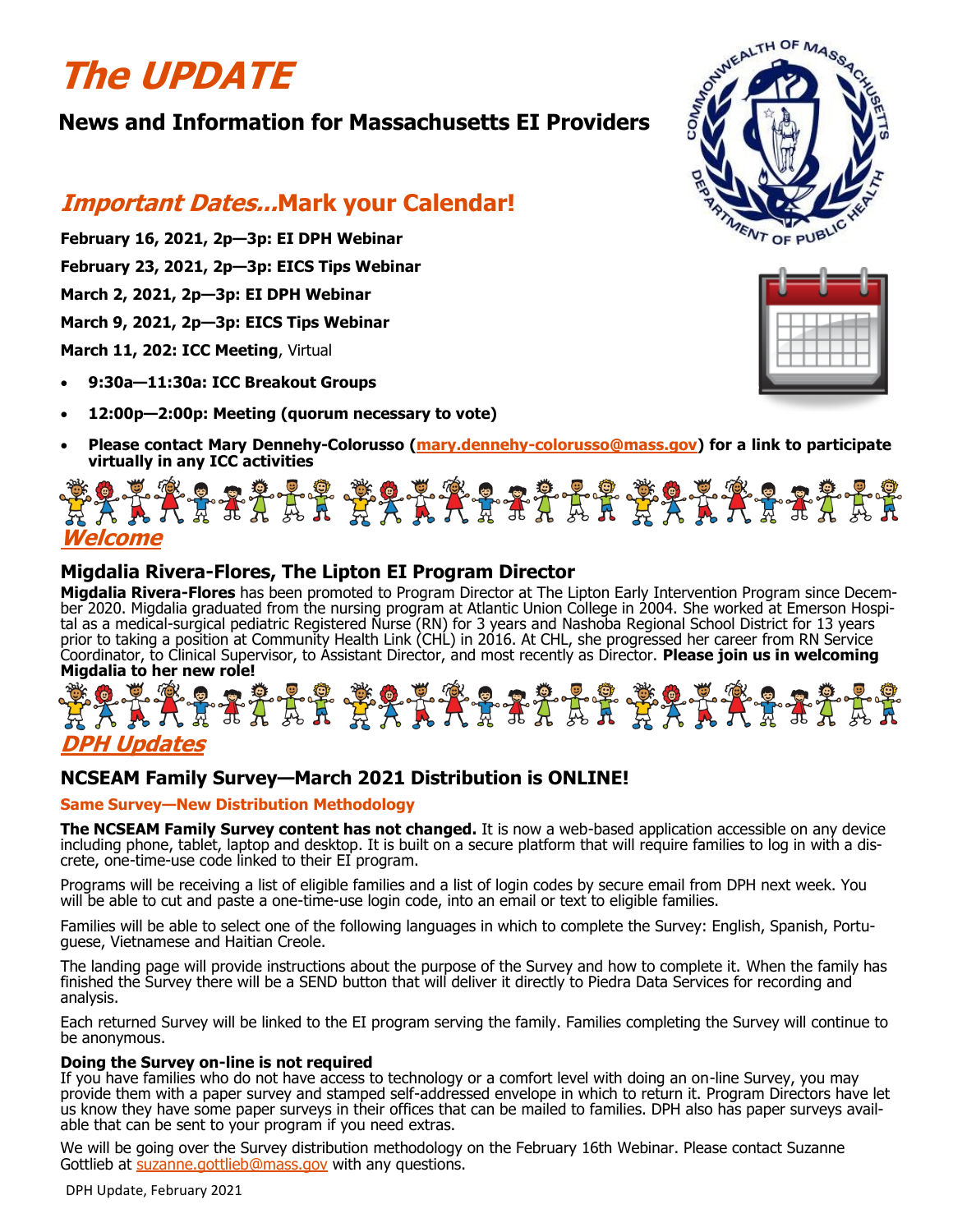# **The UPDATE**

## **News and Information for Massachusetts EI Providers**

## **Important Dates...Mark your Calendar!**

- **February 16, 2021, 2p—3p: EI DPH Webinar**
- **February 23, 2021, 2p—3p: EICS Tips Webinar**
- **March 2, 2021, 2p—3p: EI DPH Webinar**
- **March 9, 2021, 2p—3p: EICS Tips Webinar**
- **March 11, 202: ICC Meeting**, Virtual
- **9:30a—11:30a: ICC Breakout Groups**
- **12:00p—2:00p: Meeting (quorum necessary to vote)**
- **Please contact Mary Dennehy-Colorusso (mary.dennehy-[colorusso@mass.gov\)](mailto:mary.dennehy-colorusso@mass.gov) for a link to participate virtually in any ICC activities**

## **Welcome**

#### **Migdalia Rivera-Flores, The Lipton EI Program Director**

**Migdalia Rivera-Flores** has been promoted to Program Director at The Lipton Early Intervention Program since December 2020. Migdalia graduated from the nursing program at Atlantic Union College in 2004. She worked at Emerson Hospital as a medical-surgical pediatric Registered Nurse (RN) for 3 years and Nashoba Regional School District for 13 years prior to taking a position at Community Health Link (CHL) in 2016. At CHL, she progressed her career from RN Service Coordinator, to Clinical Supervisor, to Assistant Director, and most recently as Director. **Please join us in welcoming Migdalia to her new role!**

## \*\*\*\*\*\*\*\*\*\*\*\*\*\*\*\*\*\*\*\*\*\* **\*\*\*\*\*\* DPH Updates**

## **NCSEAM Family Survey—March 2021 Distribution is ONLINE!**

#### **Same Survey—New Distribution Methodology**

**The NCSEAM Family Survey content has not changed.** It is now a web-based application accessible on any device including phone, tablet, laptop and desktop. It is built on a secure platform that will require families to log in with a discrete, one-time-use code linked to their EI program.

Programs will be receiving a list of eligible families and a list of login codes by secure email from DPH next week. You will be able to cut and paste a one-time-use login code, into an email or text to eligible families.

Families will be able to select one of the following languages in which to complete the Survey: English, Spanish, Portuguese, Vietnamese and Haitian Creole.

The landing page will provide instructions about the purpose of the Survey and how to complete it. When the family has finished the Survey there will be a SEND button that will deliver it directly to Piedra Data Services for recording and analysis.

Each returned Survey will be linked to the EI program serving the family. Families completing the Survey will continue to be anonymous.

#### **Doing the Survey on-line is not required**

If you have families who do not have access to technology or a comfort level with doing an on-line Survey, you may provide them with a paper survey and stamped self-addressed envelope in which to return it. Program Directors have let us know they have some paper surveys in their offices that can be mailed to families. DPH also has paper surveys available that can be sent to your program if you need extras.

We will be going over the Survey distribution methodology on the February 16th Webinar. Please contact Suzanne Gottlieb at [suzanne.gottlieb@mass.gov](mailto:suzanne.gottlieb@mass.gov) with any questions.

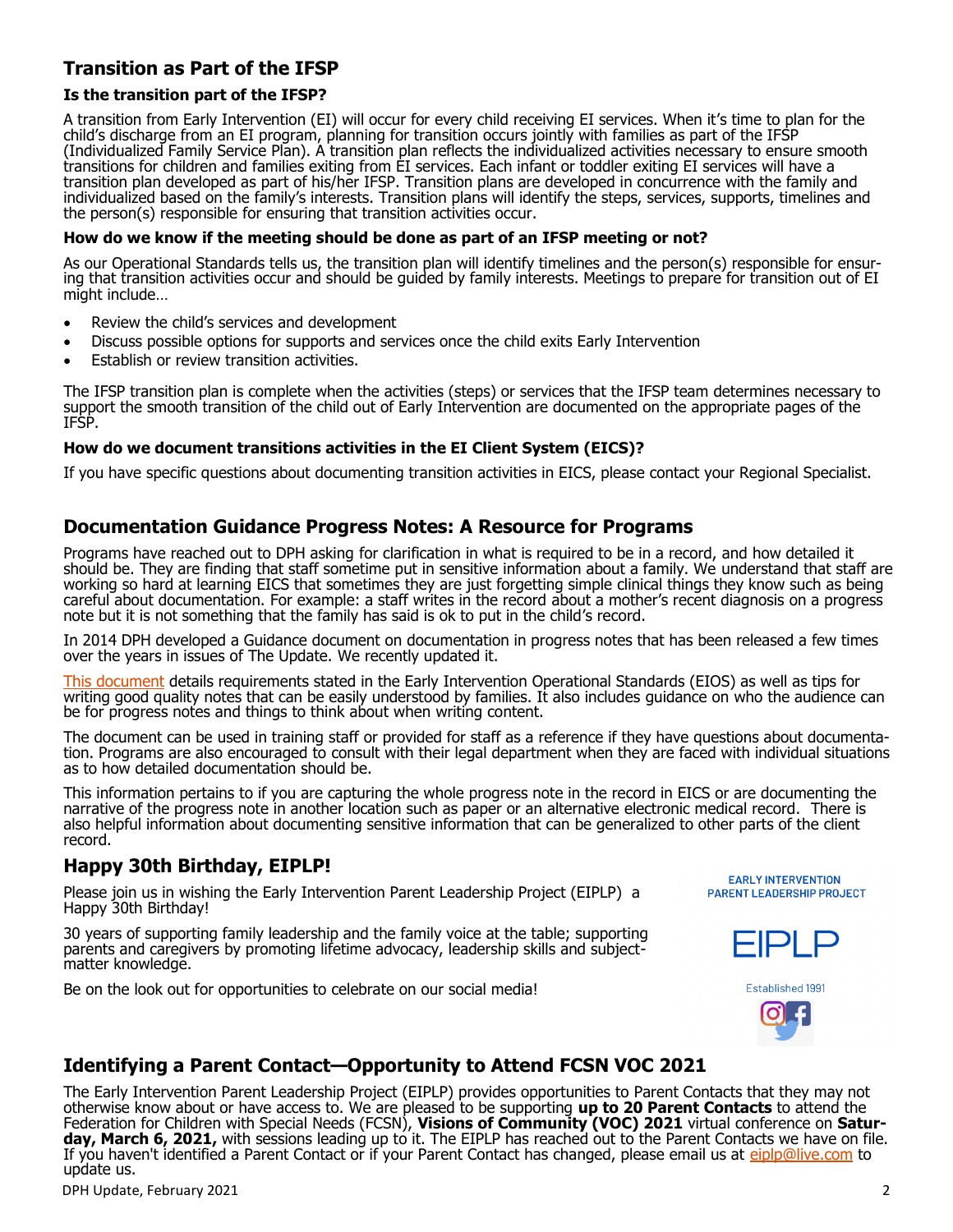## **Transition as Part of the IFSP**

#### **Is the transition part of the IFSP?**

A transition from Early Intervention (EI) will occur for every child receiving EI services. When it's time to plan for the child's discharge from an EI program, planning for transition occurs jointly with families as part of the IFSP (Individualized Family Service Plan). A transition plan reflects the individualized activities necessary to ensure smooth transitions for children and families exiting from EI services. Each infant or toddler exiting EI services will have a transition plan developed as part of his/her IFSP. Transition plans are developed in concurrence with the family and individualized based on the family's interests. Transition plans will identify the steps, services, supports, timelines and the person(s) responsible for ensuring that transition activities occur.

#### **How do we know if the meeting should be done as part of an IFSP meeting or not?**

As our Operational Standards tells us, the transition plan will identify timelines and the person(s) responsible for ensuring that transition activities occur and should be guided by family interests. Meetings to prepare for transition out of EI might include…

- Review the child's services and development
- Discuss possible options for supports and services once the child exits Early Intervention
- Establish or review transition activities.

The IFSP transition plan is complete when the activities (steps) or services that the IFSP team determines necessary to support the smooth transition of the child out of Early Intervention are documented on the appropriate pages of the IFSP.

#### **How do we document transitions activities in the EI Client System (EICS)?**

If you have specific questions about documenting transition activities in EICS, please contact your Regional Specialist.

#### **Documentation Guidance Progress Notes: A Resource for Programs**

Programs have reached out to DPH asking for clarification in what is required to be in a record, and how detailed it should be. They are finding that staff sometime put in sensitive information about a family. We understand that staff are working so hard at learning EICS that sometimes they are just forgetting simple clinical things they know such as being careful about documentation. For example: a staff writes in the record about a mother's recent diagnosis on a progress note but it is not something that the family has said is ok to put in the child's record.

In 2014 DPH developed a Guidance document on documentation in progress notes that has been released a few times over the years in issues of The Update. We recently updated it.

[This document](https://files.constantcontact.com/dafff9ae001/e20d29c2-1901-4770-8c7d-08b654be418f.pdf) details requirements stated in the Early Intervention Operational Standards (EIOS) as well as tips for writing good quality notes that can be easily understood by families. It also includes guidance on who the audience can be for progress notes and things to think about when writing content.

The document can be used in training staff or provided for staff as a reference if they have questions about documentation. Programs are also encouraged to consult with their legal department when they are faced with individual situations as to how detailed documentation should be.

This information pertains to if you are capturing the whole progress note in the record in EICS or are documenting the narrative of the progress note in another location such as paper or an alternative electronic medical record. There is also helpful information about documenting sensitive information that can be generalized to other parts of the client record.

#### **Happy 30th Birthday, EIPLP!**

Please join us in wishing the Early Intervention Parent Leadership Project (EIPLP) a Happy 30th Birthday!

30 years of supporting family leadership and the family voice at the table; supporting parents and caregivers by promoting lifetime advocacy, leadership skills and subjectmatter knowledge.

Be on the look out for opportunities to celebrate on our social media!

**EARLY INTERVENTION PARENT LEADERSHIP PROJECT** 





#### **Identifying a Parent Contact—Opportunity to Attend FCSN VOC 2021**

The Early Intervention Parent Leadership Project (EIPLP) provides opportunities to Parent Contacts that they may not otherwise know about or have access to. We are pleased to be supporting **up to 20 Parent Contacts** to attend the Federation for Children with Special Needs (FCSN), **Visions of Community (VOC) 2021** virtual conference on **Satur**day, March 6, 2021, with sessions leading up to it. The EIPLP has reached out to the Parent Contacts we have on file. If you haven't identified a Parent Contact or if your Parent Contact has changed, please email us at [eiplp@live.com](mailto:eiplp@live.com) to update us.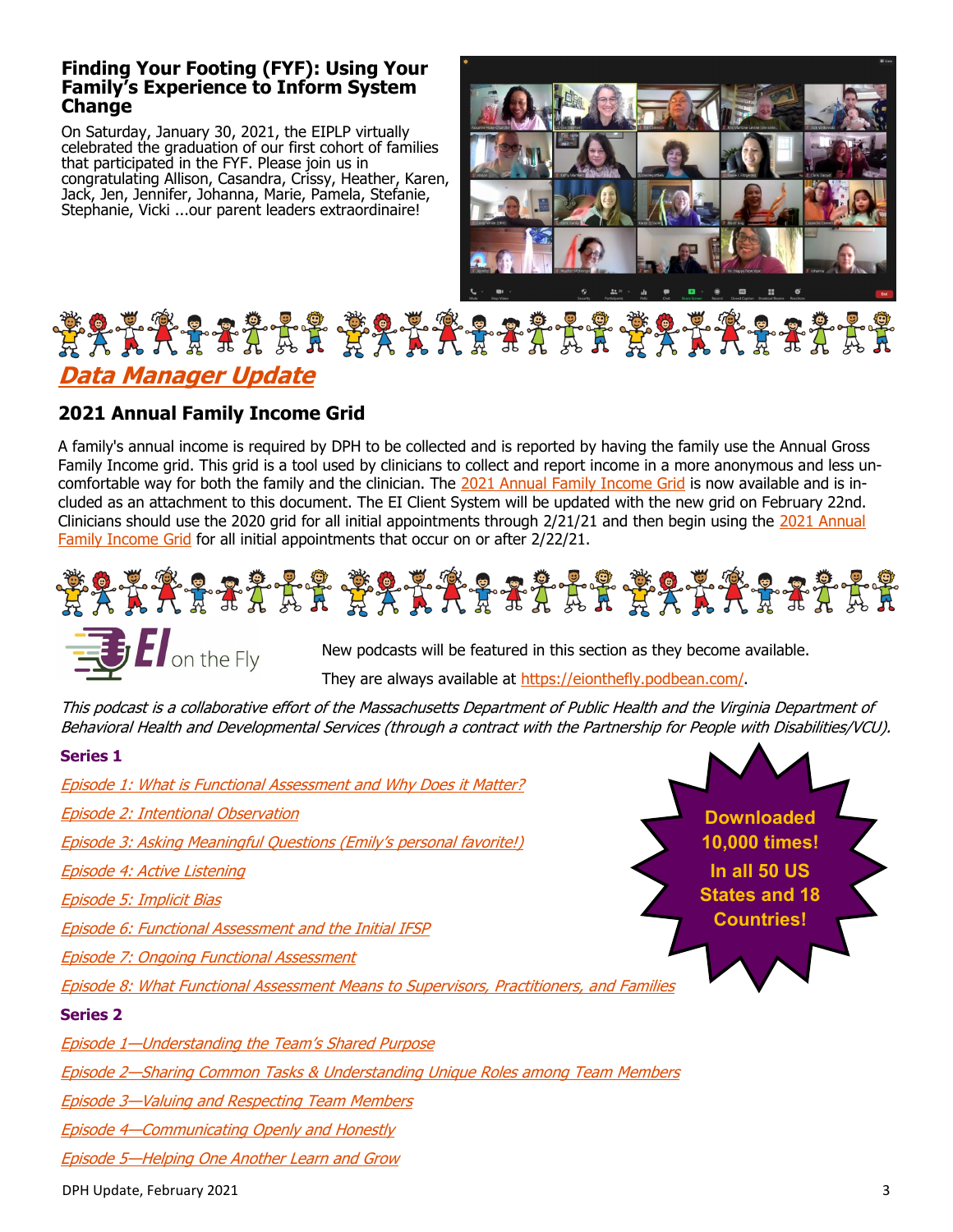#### **Finding Your Footing (FYF): Using Your Family's Experience to Inform System Change**

On Saturday, January 30, 2021, the EIPLP virtually celebrated the graduation of our first cohort of families that participated in the FYF. Please join us in congratulating Allison, Casandra, Crissy, Heather, Karen, Jack, Jen, Jennifer, Johanna, Marie, Pamela, Stefanie, Stephanie, Vicki ...our parent leaders extraordinaire!



## \*\*\*\*\*\*\*\*\*\*\*\*\*\*\*\*\*\*\*\*\*\*\* **Data Manager Update**

## **2021 Annual Family Income Grid**

 $\blacksquare$  on the Fly

A family's annual income is required by DPH to be collected and is reported by having the family use the Annual Gross Family Income grid. This grid is a tool used by clinicians to collect and report income in a more anonymous and less uncomfortable way for both the family and the clinician. The [2021 Annual Family Income Grid](https://files.constantcontact.com/dafff9ae001/f685d5a7-b63d-4bfc-ab4c-d45af4484a31.pdf) is now available and is included as an attachment to this document. The EI Client System will be updated with the new grid on February 22nd. Clinicians should use the 2020 grid for all initial appointments through 2/21/21 and then begin using the [2021 Annual](https://files.constantcontact.com/dafff9ae001/f685d5a7-b63d-4bfc-ab4c-d45af4484a31.pdf)  [Family Income Grid](https://files.constantcontact.com/dafff9ae001/f685d5a7-b63d-4bfc-ab4c-d45af4484a31.pdf) for all initial appointments that occur on or after 2/22/21.





They are always available at [https://eionthefly.podbean.com/.](https://eionthefly.podbean.com/)

This podcast is a collaborative effort of the Massachusetts Department of Public Health and the Virginia Department of Behavioral Health and Developmental Services (through a contract with the Partnership for People with Disabilities/VCU).

#### **Series 1**

[Episode 1: What is Functional Assessment and Why Does it Matter?](https://eionthefly.podbean.com/e/episode-1-what-is-functional-assessment-and-why-does-it-matter/) [Episode 2: Intentional Observation](https://eionthefly.podbean.com/e/episode-2-intentional-observation/) [Episode 3: Asking Meaningful Questions \(Emily](https://eionthefly.podbean.com/e/episode-3-asking-meaningful-questions/)'s personal favorite!) [Episode 4: Active Listening](https://eionthefly.podbean.com/e/episode-4-active-listening/) [Episode 5: Implicit Bias](https://eionthefly.podbean.com/e/episode-5-implicit-bias/) [Episode 6: Functional Assessment and the Initial IFSP](https://eionthefly.podbean.com/e/episode-6-functional-assessment-and-the-initial-ifsp/) [Episode 7: Ongoing Functional Assessment](https://eionthefly.podbean.com/e/episode-7-ongoing-functional-assessment/) [Episode 8: What Functional Assessment Means to Supervisors, Practitioners, and Families](https://eionthefly.podbean.com/e/episode-8-what-functional-assessment-means-to-supervisors-practitioners-and-families/) **Series 2** Episode 1[—Understanding the Team](https://eionthefly.podbean.com/e/episode-1-%e2%80%93-understanding-the-team-s-shared-purpose/)'s Shared Purpose Episode 2[—Sharing Common Tasks & Understanding Unique Roles among Team Members](https://eionthefly.podbean.com/e/series-2-episode-2-sharing-common-tasks-understanding-unique-roles-among-team-members/) Episode 3[—Valuing and Respecting Team Members](https://eionthefly.podbean.com/e/series-2-episode-3-valuing-and-respecting-team-members/) Episode 4[—Communicating Openly and Honestly](https://eionthefly.podbean.com/e/episode-4-communicating-openly-and-honestly/) **Downloaded 10,000 times! In all 50 US States and 18 Countries!**

DPH Update, February 2021 3

Episode 5[—Helping One Another Learn and Grow](https://eionthefly.podbean.com/e/series-2-episode-5-helping-one-another-learn-and-grow/)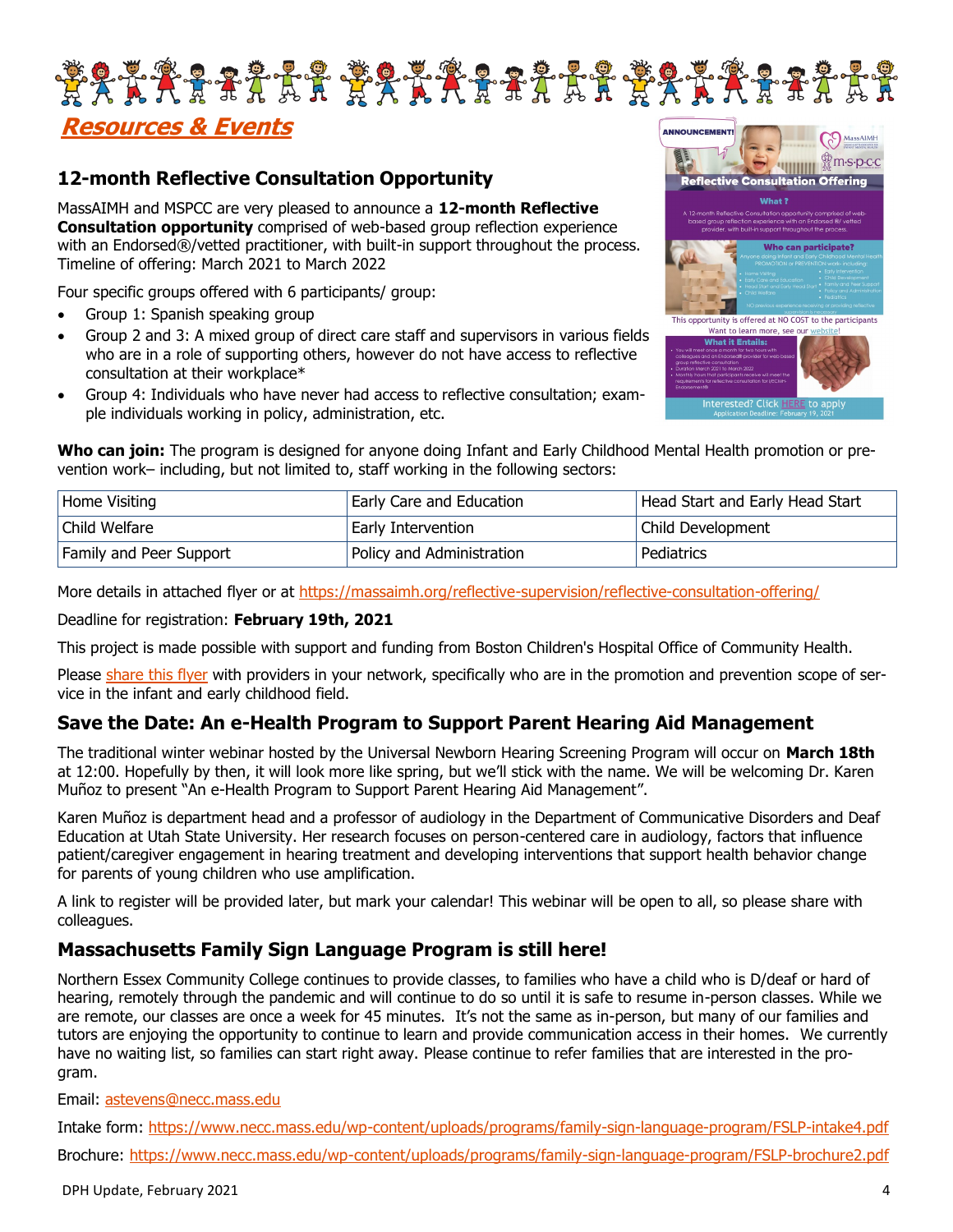

## **Resources & Events**

### **12-month Reflective Consultation Opportunity**

MassAIMH and MSPCC are very pleased to announce a **12-month Reflective Consultation opportunity** comprised of web-based group reflection experience with an Endorsed®/vetted practitioner, with built-in support throughout the process. Timeline of offering: March 2021 to March 2022

Four specific groups offered with 6 participants/ group:

- Group 1: Spanish speaking group
- Group 2 and 3: A mixed group of direct care staff and supervisors in various fields who are in a role of supporting others, however do not have access to reflective consultation at their workplace\*
- Group 4: Individuals who have never had access to reflective consultation; example individuals working in policy, administration, etc.



Interested? Click H

**Who can join:** The program is designed for anyone doing Infant and Early Childhood Mental Health promotion or prevention work– including, but not limited to, staff working in the following sectors:

| Home Visiting                  | Early Care and Education  | Head Start and Early Head Start |
|--------------------------------|---------------------------|---------------------------------|
| Child Welfare                  | Early Intervention        | Child Development               |
| <b>Family and Peer Support</b> | Policy and Administration | Pediatrics                      |

More details in attached flyer or at [https://massaimh.org/reflective](https://massaimh.org/reflective-supervision/reflective-consultation-offering/)-supervision/reflective-consultation-offering/

Deadline for registration: **February 19th, 2021** 

This project is made possible with support and funding from Boston Children's Hospital Office of Community Health.

Please share [this flyer](https://massaimh.org/reflective-supervision/reflective-consultation-offering/) with providers in your network, specifically who are in the promotion and prevention scope of service in the infant and early childhood field.

#### **Save the Date: An e-Health Program to Support Parent Hearing Aid Management**

The traditional winter webinar hosted by the Universal Newborn Hearing Screening Program will occur on **March 18th**  at 12:00. Hopefully by then, it will look more like spring, but we'll stick with the name. We will be welcoming Dr. Karen Muñoz to present "An e-Health Program to Support Parent Hearing Aid Management".

Karen Muñoz is department head and a professor of audiology in the Department of Communicative Disorders and Deaf Education at Utah State University. Her research focuses on person-centered care in audiology, factors that influence patient/caregiver engagement in hearing treatment and developing interventions that support health behavior change for parents of young children who use amplification.

A link to register will be provided later, but mark your calendar! This webinar will be open to all, so please share with colleagues.

#### **Massachusetts Family Sign Language Program is still here!**

Northern Essex Community College continues to provide classes, to families who have a child who is D/deaf or hard of hearing, remotely through the pandemic and will continue to do so until it is safe to resume in-person classes. While we are remote, our classes are once a week for 45 minutes. It's not the same as in-person, but many of our families and tutors are enjoying the opportunity to continue to learn and provide communication access in their homes. We currently have no waiting list, so families can start right away. Please continue to refer families that are interested in the program.

Email: [astevens@necc.mass.edu](mailto:astevens@necc.mass.edu)

Intake form: https://www.necc.mass.edu/wp-[content/uploads/programs/family](https://www.necc.mass.edu/wp-content/uploads/programs/family-sign-language-program/FSLP-intake4.pdf)-sign-language-program/FSLP-intake4.pdf Brochure: https://www.necc.mass.edu/wp-[content/uploads/programs/family](https://www.necc.mass.edu/wp-content/uploads/programs/family-sign-language-program/FSLP-brochure2.pdf)-sign-language-program/FSLP-brochure2.pdf